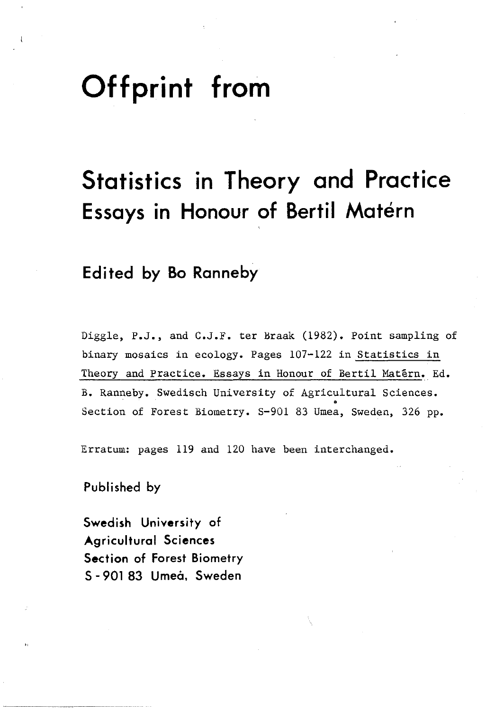# **Offprint from**

# **Statistics in Theory and Practice Essays in Honour of Bertil Matérn**

**Edited by Bo Ranneby** 

Diggle, P.J., and C.J.F. ter Hraak (1982). Point sampling of binary mosaics in ecology. Pages 107-122 in Statistics in Theory and Practice. Essays in Honour of Bertil Matern. Ed. B. Ranneby. Swedisch University of Agricultural Sciences.<br>Section of Forest Biometry. S-901 83 Umea, Sweden, 326 pp.

Erratum: pages 119 and 120 have been interchanged.

**Published by** 

**Swedish University of Agricultural Sciences Section of Forest Biometry S - 901 83 Umea, Sweden**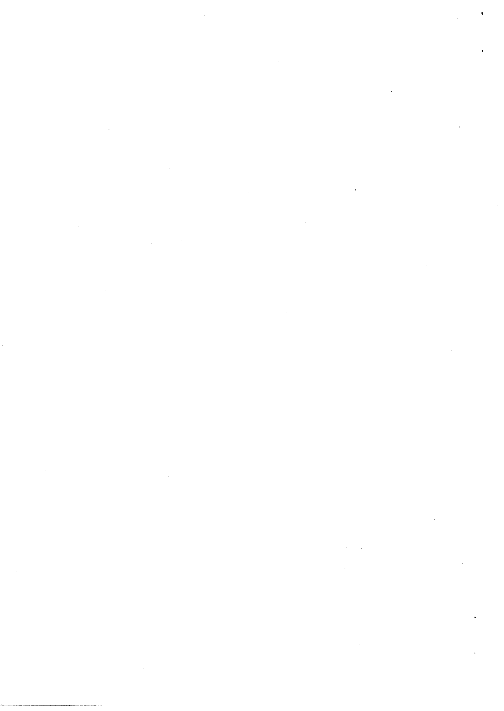$\label{eq:2.1} \frac{1}{\sqrt{2}}\left(\frac{1}{\sqrt{2}}\right)^{2} \left(\frac{1}{\sqrt{2}}\right)^{2} \left(\frac{1}{\sqrt{2}}\right)^{2} \left(\frac{1}{\sqrt{2}}\right)^{2} \left(\frac{1}{\sqrt{2}}\right)^{2} \left(\frac{1}{\sqrt{2}}\right)^{2} \left(\frac{1}{\sqrt{2}}\right)^{2} \left(\frac{1}{\sqrt{2}}\right)^{2} \left(\frac{1}{\sqrt{2}}\right)^{2} \left(\frac{1}{\sqrt{2}}\right)^{2} \left(\frac{1}{\sqrt{2}}\right)^{2} \left(\$  $\label{eq:2.1} \frac{1}{\sqrt{2}}\int_{0}^{\infty}\frac{1}{\sqrt{2\pi}}\left(\frac{1}{\sqrt{2\pi}}\right)^{2\alpha} \frac{1}{\sqrt{2\pi}}\int_{0}^{\infty}\frac{1}{\sqrt{2\pi}}\left(\frac{1}{\sqrt{2\pi}}\right)^{\alpha} \frac{1}{\sqrt{2\pi}}\frac{1}{\sqrt{2\pi}}\int_{0}^{\infty}\frac{1}{\sqrt{2\pi}}\frac{1}{\sqrt{2\pi}}\frac{1}{\sqrt{2\pi}}\frac{1}{\sqrt{2\pi}}\frac{1}{\sqrt{2\pi}}\frac{1}{\sqrt{2\pi}}$  $\label{eq:2.1} \frac{1}{\sqrt{2}}\int_{\mathbb{R}^3} \frac{1}{\sqrt{2}}\left(\frac{1}{\sqrt{2}}\right)^2\left(\frac{1}{\sqrt{2}}\right)^2\left(\frac{1}{\sqrt{2}}\right)^2\left(\frac{1}{\sqrt{2}}\right)^2\left(\frac{1}{\sqrt{2}}\right)^2\left(\frac{1}{\sqrt{2}}\right)^2\left(\frac{1}{\sqrt{2}}\right)^2\left(\frac{1}{\sqrt{2}}\right)^2\left(\frac{1}{\sqrt{2}}\right)^2\left(\frac{1}{\sqrt{2}}\right)^2\left(\frac{1}{\sqrt{2}}\right)^2\left(\$  $\label{eq:2.1} \mathcal{L}(\mathcal{L}) = \mathcal{L}(\mathcal{L}) \mathcal{L}(\mathcal{L}) = \mathcal{L}(\mathcal{L})$ 

 $\frac{1}{\sqrt{2}}$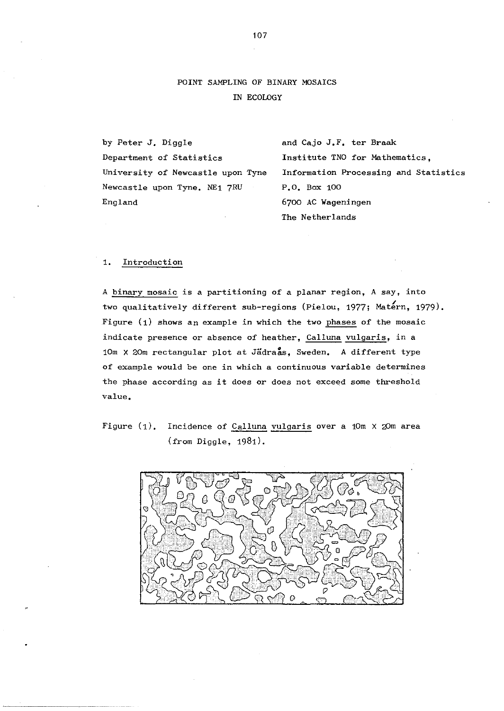# POINT SAMPLING OF BINARY MOSAICS IN ECOLOGY

by Peter J. Diggle **Department of Statistics University of Newcastle upon Tyne**  Newcastle upon Tyne. NEt 7RU England

and Cajo J.F. ter Braak Institute TNO for Mathematics, **Information Processing and Statistics**  P.O. Box 100 6700 AC Wageningen The Netherlands

#### **1. Introduction**

**A binary mosaic is a partitioning of a planar region, A say, into**  two qualitatively different sub-regions (Pielou, 1977; Matern, 1979). **Figure (t) shows an example in which the two phases of the mosaic indicate presence or absence of heather, Calluna vulgaris, in a 10m** *X* **20m rectangular plot at** Jadra~, **Sweden. A different type of example would be one in which a continuous variable determines the phase according as it does or does not exceed some threshold value.** 

Figure (1). Incidence of Calluna vulgaris over a 10m X 20m area (from Diggle, 1981).

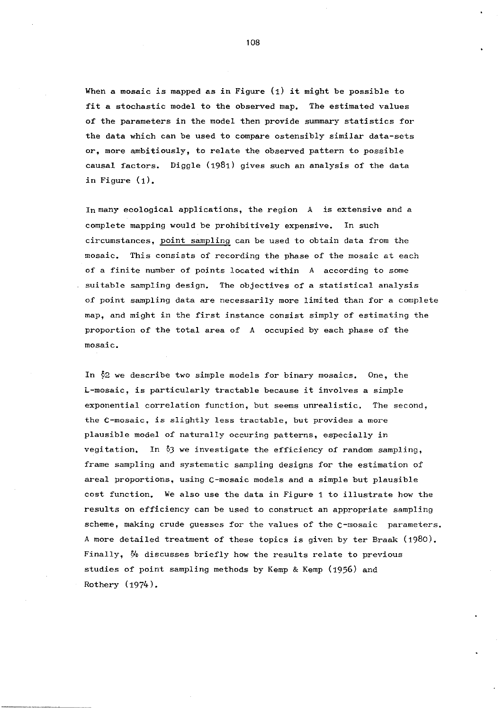When a mosaic is mapped as in Figure  $(1)$  it might be possible to fit a stochastic model to the observed map. The estimated values of the parameters in the model then provide summary statistics for the data which can be used to compare ostensibly similar data-sets or, more ambitiously, to relate the observed pattern to possible causal factors. Diggle (1981) gives such an analysis of the data in Figure (1).

In many ecological applications, the region A is extensive and a complete mapping would be prohibitively expensive. In such circumstances, point sampling can be used to obtain data from the mosaic. This consists of recording the phase of the mosaic at each of a finite number of points located within A according to some suitable sampling design. The objectives of a statistical analysis of point sampling data are necessarily more limited than for a complete map, and might in the first instance consist simply of estimating the proportion of the total area of A occupied by each phase of the mosaic.

In  $$2$  we describe two simple models for binary mosaics. One, the L-mosaic, is particularly tractable because it involves a simple exponential correlation function, but seems unrealistic. The second, the C-mosaic, is slightly less tractable, but provides a more plausible model of naturally occuring patterns, especially in vegitation. In  $\S$  we investigate the efficiency of random sampling, frame sampling and systematic sampling designs for the estimation of areal proportions, using C-mosaic models and a simple but plausible cost function. We also use the data in Figure 1 to illustrate how the results on efficiency can be used to construct an appropriate sampling scheme, making crude guesses for the values of the c-mosaic parameters. A more detailed treatment of these topics is given by ter Braak (1980). Finally,  $\&$  discusses briefly how the results relate to previous studies of point sampling methods by Kemp & Kemp (1956) and Rothery  $(1974)$ .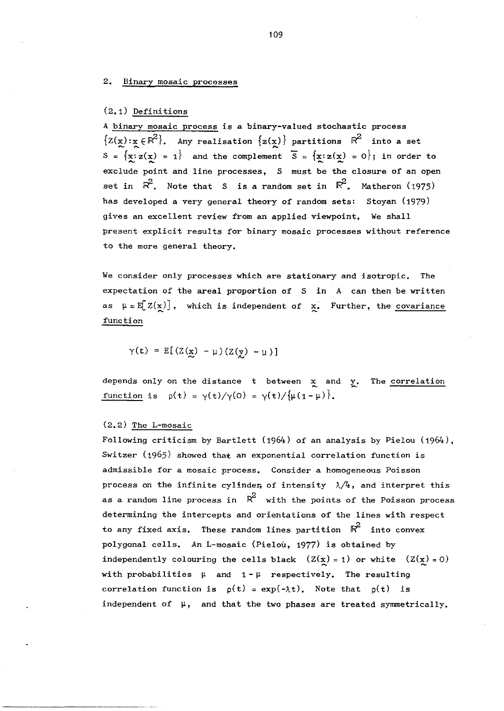#### **2. Binary mosaic processes**

# (2,1) Definitions

**A binary mosaic process is a binary-valued stochastic process**   ${z(x):x\in\mathbb{R}^2}$ . Any realisation  ${x(x)}$  partitions  $\mathbb{R}^2$  into a set  $S = {\mathbf{x} : \mathbf{z}(\mathbf{x}) = 1}$  and the complement  $\overline{S} = {\mathbf{x} : \mathbf{z}(\mathbf{x}) = 0}$ ; in order to exclude point and line processes, S must be the closure of an open set in  $\mathbb{R}^2$ . Note that S is a random set in  $\mathbb{R}^2$ . Matheron (1975) has developed a very general theory of random sets: Stoyan (1979) **gives an excellent review from an applied viewpoint. We shall present explicit results for binary mosaic processes without reference to the more general theory.** 

**We consider only processes which are stationary and isotropic. The expectation of the areal proportion of S in A can then be written**  as  $\mu = E[Z(x)]$ , which is independent of  $x$ , Further, the covariance **function** 

$$
\gamma(t) = E[(Z(x) - \mu)(Z(y) - \mu)]
$$

depends only on the distance **t** between  $\boldsymbol{x}$  and  $\boldsymbol{y}$ . The correlation function is  $\rho(t) = \gamma(t)/\gamma(0) = \gamma(t)/(\mu(1-\mu))$ .

#### (2.2) The L-mosaic

Following criticism by Bartlett (1964) of an analysis by Pielou (1964), **Switzer (1965) showed that an exponential correlation function is admissible for a mosaic process. Consider a homogeneous Poisson**  process on the infinite cylinder, of intensity  $\lambda/4$ , and interpret this as a random line process in  $R^2$  with the points of the Poisson process **determining the intercepts and orientations of the lines with respect**  to any fixed axis. These random lines partition  $R^2$  into convex polygonal cells. An L-mosaic (Pielou, 1977) is obtained by independently colouring the cells black  $(Z(x) = 1)$  or white  $(Z(x) = 0)$ with probabilities  $\mu$  and  $1-\mu$  respectively. The resulting correlation function is  $\rho(t) = \exp(-\lambda t)$ . Note that  $\rho(t)$  is independent of  $\mu$ , and that the two phases are treated symmetrically.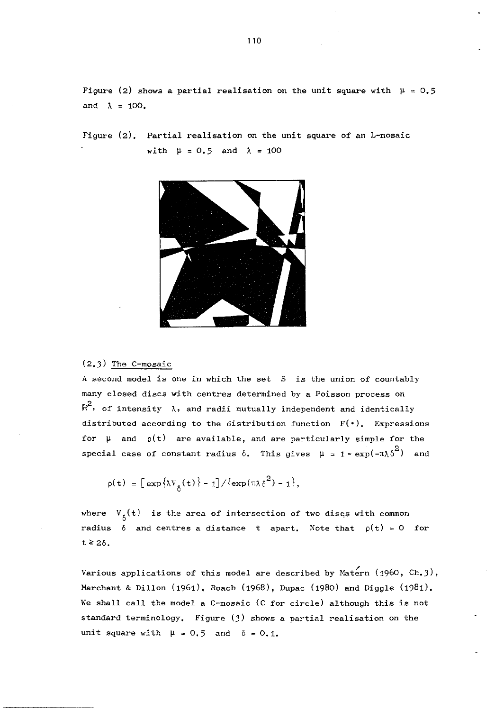Figure (2) shows a partial realisation on the unit square with  $\mu = 0.5$ and  $\lambda = 100$ .

**Figure (2). Partial realisation on the unit square of an L-mosaic**  with  $\mu = 0.5$  and  $\lambda = 100$ 



## (2.3) The C-mosaic

**A second model is one in which the set S is the union of countably many closed discs with centres determined by a Poisson process on**   $\mathbb{R}^2$ , of intensity  $\lambda$ , and radii mutually independent and identically **distributed according to the distribution function** F(•). **Expressions**  for  $~\mu~$  and  $~p(t)~$  are available, and are particularly simple for the special case of constant radius  $\delta$ . This gives  $\mu = 1 - \exp(-\pi\lambda \delta^2)$  and

$$
p(t) = \left[ exp{\lambda V_0(t)} - 1 \right] / \left\{ exp(\pi \lambda \delta^2) - 1 \right\},\
$$

 $\mathbf{v}_{\delta}(\mathbf{t})$  is the area of intersection of two discs with common **radius**  $\delta$  and centres a distance **t** apart. Note that  $p(t) = 0$  for  $t \geq 2\delta$ .

Various applications of this model are described by Matern (1960, Ch.3), Marchant & Dillon (1961), Roach (1968), Dupac (1980) and Diggle (1981). We shall call the model a C-mosaic (C for circle) although this is not **standard terminology. Figure** (J) **shows a partial realisation on the**  unit square with  $\mu = 0.5$  and  $\delta = 0.1$ .

110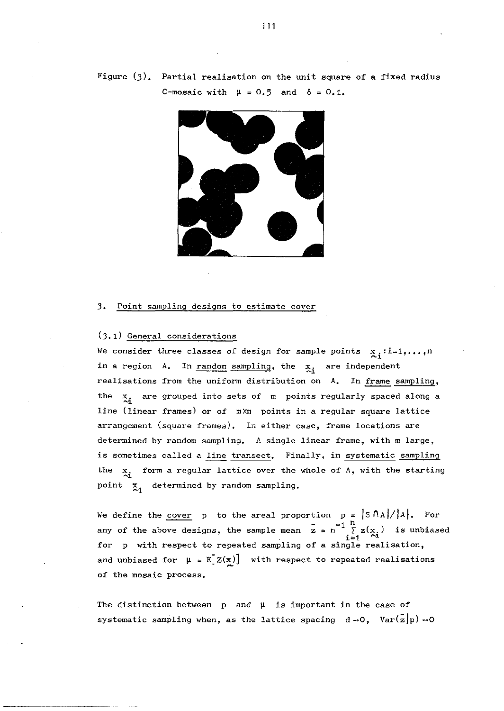Figure  $(3)$ . Partial realisation on the unit square of a fixed radius C-mosaic with  $\mu = 0.5$  and  $\delta = 0.1$ .



#### *3.* Point sampling designs to estimate cover

#### (J.1) General considerations

We consider three classes of design for sample points  $x_i$ :i=1,...,n in a region A. In random sampling, the  $x_i$  are independent realisations from the uniform distribution on A. In frame sampling, the  $\mathbf{x}_1$  are grouped into sets of m points regularly spaced along a line (linear frames) or of mXm points in a regular square lattice arrangement (square frames). In either case, frame locations are determined by random sampling. A single linear frame, with m large, is sometimes called a line transect. Finally, in systematic sampling the  $x_i$  form a regular lattice over the whole of A, with the starting point  $x_1$  determined by random sampling.

We define the cover p to the areal proportion  $p = |S \cap A|/|A|$ . For any of the above designs, the sample mean  $\overline{z} = n^{-1} \sum_{i=1}^{n} z(x_i)$  is unbiased for p with respect to repeated sampling of a single realisation, and unbiased for  $\mu = \mathbb{E}[Z(\mathbf{x})]$  with respect to repeated realisations of the mosaic process.

The distinction between  $p$  and  $\mu$  is important in the case of systematic sampling when, as the lattice spacing  $d\rightarrow 0$ ,  $Var(\bar{z}|p) \rightarrow 0$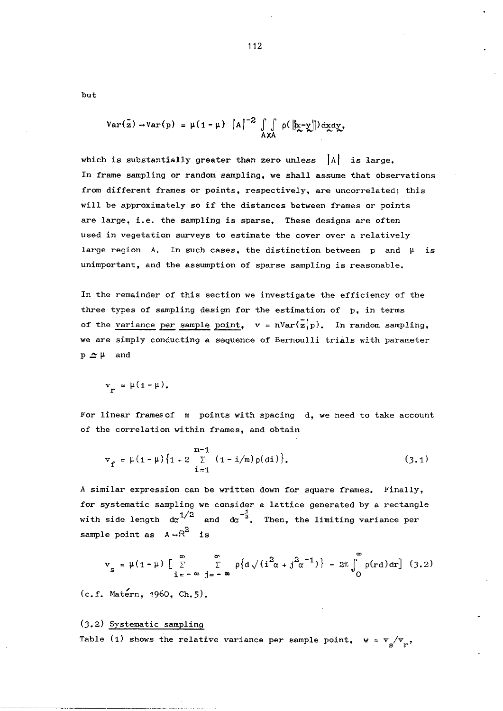but

$$
Var(\bar{z}) \rightarrow Var(p) = \mu(1-\mu) |A|^{-2} \iint_{A \times A} \rho(\vert x-y \vert) \, \mathrm{d}x \, \mathrm{d}y,
$$

which is substantially greater than zero unless  $\begin{bmatrix} A \end{bmatrix}$  is large. In frame sampling or random sampling, we shall assume that observations from different frames or points, respectively, are uncorrelated; this will be approximately so if the distances between frames or points are large, i.e. the sampling is sparse. These designs are often used in vegetation surveys to estimate the cover over a relatively large region A. In such cases, the distinction between p and  $\mu$  is unimportant, and the assumption of sparse sampling is reasonable.

In the remainder of this section we investigate the efficiency of the three types of sampling design for the estimation of p, in terms of the variance per sample point,  $v = nVar(\bar{z}|p)$ . In random sampling, we are simply conducting a sequence of Bernoulli trials with parameter  $p \simeq \mu$  and

$$
v_{r} = \mu(1-\mu).
$$

For linear framesof m points with spacing d, we need to take account of the correlation within frames, and obtain

$$
v_{f} = \mu(1-\mu)\left\{1+2\sum_{i=1}^{m-1} (1-i/m)\rho(ai)\right\},
$$
 (3.1)

A similar expression can be written down for square frames. Finally, for systematic sampling we consider a lattice generated by a rectangle with side length  $dx^{1/2}$  and  $dx^{-\frac{1}{2}}$ . Then, the limiting variance per sample point as  $A \rightarrow \mathbb{R}^2$  is

$$
v_{s} = \mu(1-\mu) \left[ \sum_{i=-\infty}^{\infty} \sum_{j=-\infty}^{\infty} \rho \{ d \sqrt{(i^{2} \alpha + j^{2} \alpha^{-1})} \} - 2\pi \int_{0}^{\infty} \rho (rd) dr \right] (3.2)
$$

 $(c.f.$  Matern, 1960,  $Ch.5)$ .

#### (J.2) Systematic sampling

Table (1) shows the relative variance per sample point,  $w = v_S/v_T$ ,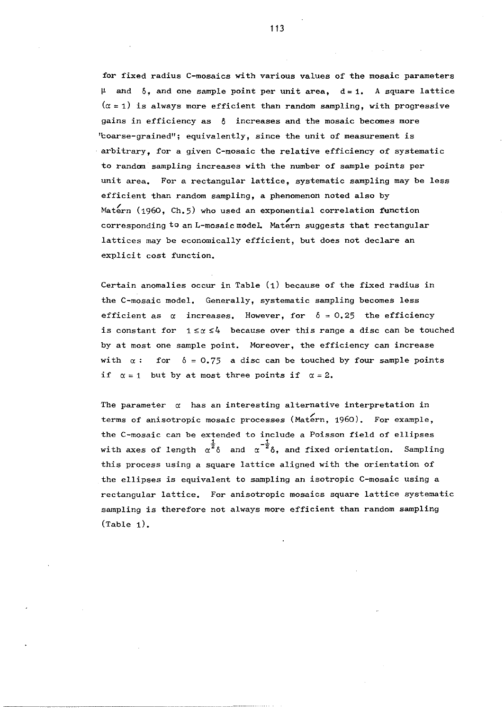for fixed radius C-mosaics with various values of the mosaic parameters  $\mu$  and  $\delta$ , and one sample point per unit area, d = 1. A square lattice  $(\alpha = 1)$  is always more efficient than random sampling, with progressive gains in efficiency as  $\delta$  increases and the mosaic becomes more 'Coarse-grained"; equivalently, since the unit of measurement is arbitrary, for a given C-mosaic the relative efficiency of systematic to random sampling increases with the number of sample points per unit area. For a rectangular lattice, systematic sampling may be less efficient than random sampling, a phenomenon noted also by Matern  $(1960, Ch, 5)$  who used an exponential correlation function corresponding to an L-mosaic model. Matern suggests that rectangular lattices may be economically efficient, but does not declare an explicit cost function.

Certain anomalies occur in Table (1) because of the fixed radius in the C-mosaic model. Generally, systematic sampling becomes less efficient as  $\alpha$  increases. However, for  $\delta = 0.25$  the efficiency is constant for  $1 \le \alpha \le 4$  because over this range a disc can be touched by at most one sample point. Moreover, the efficiency can increase with  $\alpha$ : for  $\delta = 0.75$  a disc can be touched by four sample points if  $\alpha = 1$  but by at most three points if  $\alpha = 2$ .

The parameter  $\alpha$  has an interesting alternative interpretation in terms of anisotropic mosaic processes (Matern, 1960). For example, the C-mosaic can be extended to include a Poisson field of ellipses with axes of length  $\alpha^{\frac{1}{2}}$  and  $\alpha^{-\frac{1}{2}}$  and fixed orientation. Sampling this process using a square lattice aligned with the orientation of the ellipses is equivalent to sampling an isotropic C-mosaic using a rectangular lattice. For anisotropic mosaics square lattice systematic sampling is therefore not always more efficient than random sampling  $(Table 1).$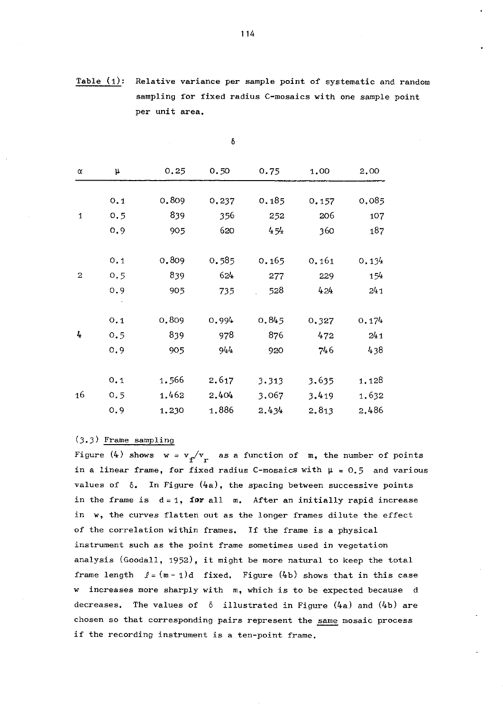| $\alpha$     | μ    | 0.25  | 0.50  | 0.75  | 1.00  | 2,00  |
|--------------|------|-------|-------|-------|-------|-------|
|              |      |       |       |       |       |       |
|              | 0.1  | 0.809 | 0.237 | 0.185 | 0.157 | 0.085 |
| $\mathbf{1}$ | 0, 5 | 839   | 356   | 252   | 206   | 107   |
|              | 0.9  | 905   | 620   | 454   | 360   | 187   |
|              |      |       |       |       |       |       |
|              | 0.1  | 0.809 | 0.585 | 0.165 | 0.161 | 0.134 |
| $\mathbf{2}$ | 0, 5 | 839   | 624   | 277   | 229   | 154   |
|              | 0.9  | 905   | 735   | 528   | 424   | 241   |
|              |      |       |       |       |       |       |
|              | 0.1  | 0.809 | 0.994 | 0.845 | 0.327 | 0.174 |
| 4            | 0.5  | 839   | 978   | 876   | 472   | 241   |
|              | 0.9  | 905   | 944   | 920   | 746   | 438   |
|              |      |       |       |       |       |       |
|              | 0.1  | 1.566 | 2.617 | 3.313 | 3.635 | 1.128 |
| 16           | 0.5  | 1.462 | 2.404 | 3.067 | 3.419 | 1.632 |
|              | 0.9  | 1.230 | 1.886 | 2.434 | 2.813 | 2.486 |

 $\delta$ 

## (J.J) Frame sampling

Figure (4) shows  $w = v<sub>r</sub>/v<sub>r</sub>$  as a function of m, the number of points in a linear frame, for fixed radius C-mosaics with  $\mu = 0.5$  and various **values of 6. In Figure (4a), the spacing between successive points**  in the frame is  $d = 1$ , for all m. After an initially rapid increase **in w, the curves flatten out as the longer frames dilute the effect of the correlation within frames. If the frame is a physical instrument such as the point frame sometimes used in vegetation**  analysis (Goodall, 1952), it might be more natural to keep the total frame length  $\ell = (m - 1)d$  fixed. Figure (4b) shows that in this case **w increases more sharply with m, which is to be expected because d**  decreases. The values of  $\delta$  illustrated in Figure (4a) and (4b) are **chosen so that corresponding pairs represent the same mosaic process if the recording instrument is a ten-point frame.**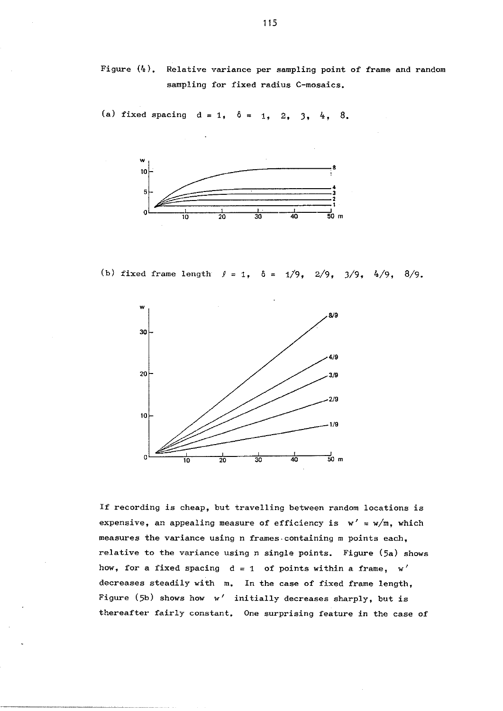Figure  $(4)$ . Relative variance per sampling point of frame and random sampling for fixed radius C-mosaics.

(a) fixed spacing  $d = 1$ ,  $\delta = 1$ , 2, 3, 4, 8.



(b) fixed frame length  $l = 1$ ,  $\delta = 1/9$ ,  $2/9$ ,  $3/9$ ,  $4/9$ ,  $8/9$ .



If recording is cheap, but travelling between random locations is expensive, an appealing measure of efficiency is  $w' = w/m$ , which measures the variance using n frames.containing m points each, relative to the variance using n single points. Figure (5a) shows how, for a fixed spacing  $d = 1$  of points within a frame, w' decreases steadily with m. In the case of fixed frame length, Figure (5b) shows how w' initially decreases sharply, but is thereafter fairly constant. One surprising feature in the case of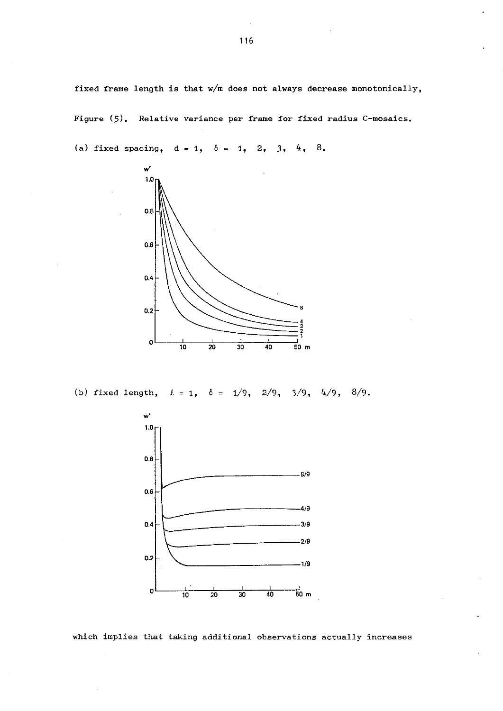fixed frame length is that w/m does not always decrease monotonically, **Figure (5). Relative variance per frame for fixed radius C-mosaics.** 

(a) fixed spacing,  $d = 1$ ,  $\delta = 1$ , 2, 3, 4, 8.



(b) fixed length,  $l = 1$ ,  $\delta = 1/9$ ,  $2/9$ ,  $3/9$ ,  $4/9$ ,  $8/9$ .



**which implies that taking additional observations actually increases**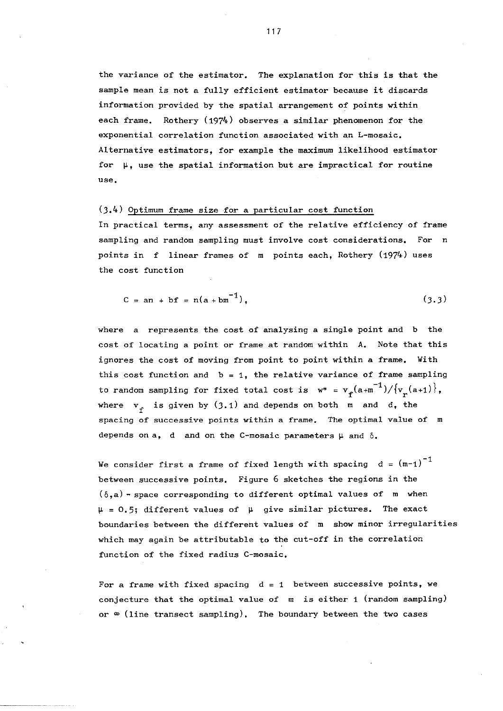the variance of the estimator. The explanation for this is that the sample mean is not a fully efficient estimator because it discards information provided by the spatial arrangement of points within each frame. Rothery (1974) observes a similar phenomenon for the exponential correlation function associated with an L-mosaic. Alternative estimators, for example the maximum likelihood estimator for  $~\mu$ , use the spatial information but are impractical for routine use.

#### $(3.4)$  Optimum frame size for a particular cost function

In practical terms, any assessment of the relative efficiency of frame sampling and random sampling must involve cost considerations. For n points in f linear frames of m points each, Rothery (1974) uses the cost function

$$
C = an + bf = n(a + bm^{-1}),
$$
 (3.3)

where a represents the cost of analysing a single point and b the cost of locating a point or frame at random within A. Note that this ignores the cost of moving from point to point within a frame. With this cost function and  $b = 1$ , the relative variance of frame sampling to random sampling for fixed total cost is  $w^* = v_f(a+m^{-1})/v_r(a+1)$ , where  $v<sub>r</sub>$  is given by (3.1) and depends on both m and d, the spacing of successive points within a frame. The optimal value of m depends on a, d and on the C-mosaic parameters  $\mu$  and  $\delta$ .

We consider first a frame of fixed length with spacing  $d = (m-1)^{-1}$ between successive points. Figure 6 sketches the regions in the  $(\delta,a)$  - space corresponding to different optimal values of m when  $\mu = 0.5$ ; different values of  $\mu$  give similar pictures. The exact boundaries between the different values of m show minor irregularities which may again be attributable to the cut-off in the correlation function of the fixed radius C-mosaic.

For a frame with fixed spacing  $d = 1$  between successive points, we conjecture that the optimal value of m is either 1 (random sampling) or  $\infty$  (line transect sampling). The boundary between the two cases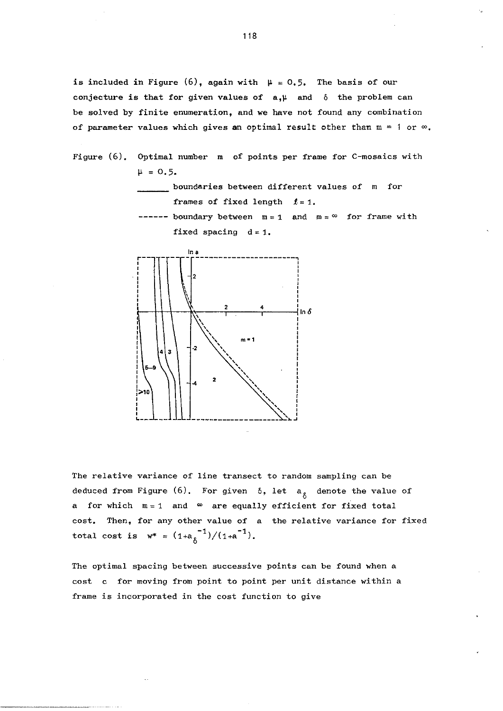is included in Figure (6), again with  $\mu = 0.5$ . The basis of our conjecture is that for given values of  $a,\mu$  and  $\delta$  the problem can be solved by finite enumeration, and we have not found any combination of parameter values which gives an optimal result other than  $m = 1$  or  $\infty$ .

Figure (6). Optimal number m of points per frame for C-mosaics with  $\mu = 0.5.$ 

> boundaries between different values of m for frames of fixed length  $l = 1$ .

boundary between  $m = 1$  and  $m = \infty$  for frame with fixed spacing  $d = 1$ .



The relative variance of line transect to random sampling can be deduced from Figure (6). For given  $\delta$ , let  $a_{\delta}$  denote the value of a for which  $m = 1$  and  $\infty$  are equally efficient for fixed total cost. Then, for any other value of a the relative variance for fixed total cost is  $w^* = (1+a_0^{-1})/(1+a^{-1})$ .

The optimal spacing between successive points can be found when a cost c for moving from point to point per unit distance within a frame is incorporated in the cost function to give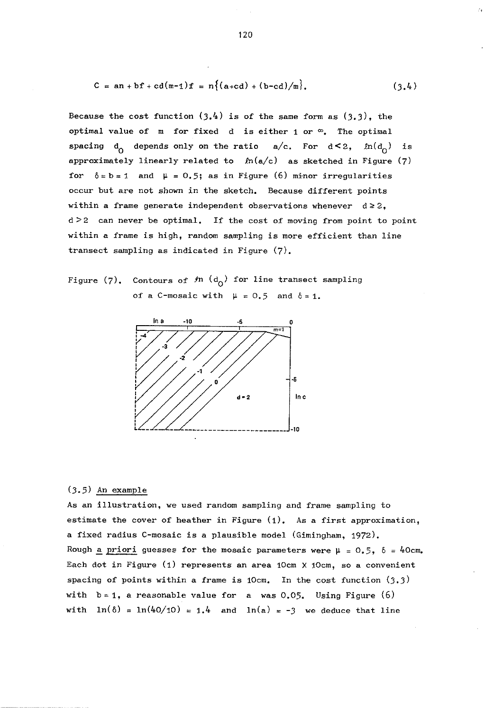$$
C = an + bf + cd(m-1)f = n{(a+cd) + (b-cd)/m}, \qquad (3.4)
$$

Because the cost function  $(3,4)$  is of the same form as  $(3,3)$ , the **optimal value of m for fixed d is either 1 or** ~. **The optimal**  spacing  $d_0$  depends only on the ratio  $a/c$ . For  $d < 2$ ,  $\ln(d_0)$  is approximately linearly related to  $ln(a/c)$  as sketched in Figure (7) for  $\delta = b = 1$  and  $\mu = 0.5$ ; as in Figure (6) minor irregularities **occur but are not shown in the sketch. Because different points**  within a frame generate independent observations whenever  $d \geq 2$ , **d>2 can never be optimal. If the cost of moving from point to point within a frame is high, random sampling is more efficient than line**  transect sampling as indicated in Figure (7),

Figure (7). Contours of  $\ln (\text{d}_{0})$  for line transect sampling of a C-mosaic with  $\mu = 0.5$  and  $\delta = 1$ .



#### (J.5) An example

**As an illustration, we used random sampling and frame sampling to estimate the cover of heather in Figure (1). As a first approximation,**  a fixed radius C-mosaic *is* a plausible model (Gimingham, 1972), Rough  $\underline{a}$  priori guesses for the mosaic parameters were  $\mu = 0.5$ ,  $\delta = 40$ cm. **Each dot in Figure (1) represents an area 10cm X 10cm, so a convenient**  spacing of points within a frame is 10cm. In the cost function (3.3) with  $b = 1$ , a reasonable value for a was 0.05. Using Figure  $(6)$ with  $ln(\delta) = ln(40/10) = 1.4$  and  $ln(a) = -3$  we deduce that line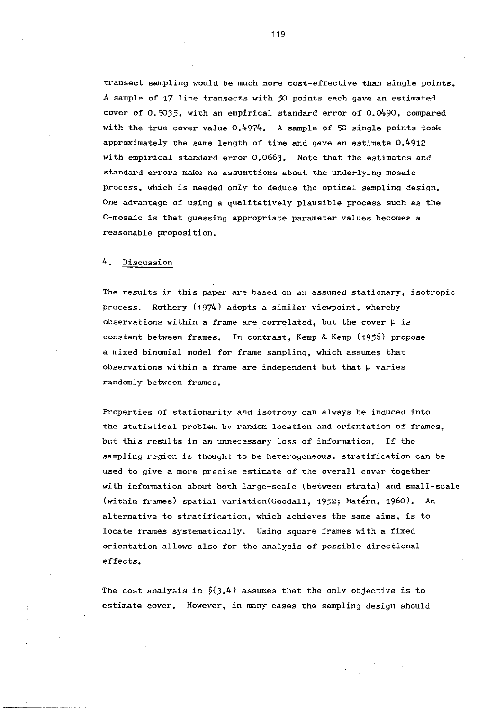transect sampling would be much more cost-effective than single points. A sample of 17 line transects with 50 points each *gave* an estimated cover of  $0.5035$ , with an empirical standard error of  $0.0490$ , compared with the true cover value  $0.4974$ . A sample of 50 single points took approximately the same length of time and gave an estimate 0.4912 with empirical standard error  $0.0663$ . Note that the estimates and standard errors make no assumptions about the underlying mosaic process, which is needed only to deduce the optimal sampling design. One advantage of using a qualitatively plausible process such as the C-mosaic is that guessing appropriate parameter values becomes a reasonable proposition.

#### 4. Discussion

The results in this paper are based on an assumed stationary, isotropic process. Rothery (1974) adopts a similar viewpoint, whereby observations within a frame are correlated, but the cover  $\mu$  is constant between frames, In contrast, Kemp & Kemp (1956) propose a mixed binomial model for frame sampling, which assumes that observations within a frame are independent but that  $\mu$  varies randomly between frames.

Properties of stationarity and isotropy can always be induced into the statistical problem by random location and orientation of frames, but this results in an unnecessary loss of information. If the sampling region *is* thought to be heterogeneous, stratification can be used to give a more precise estimate of the overall cover together with information about both large-scale (between strata) and small-scale  $(within frames)$  spatial variation(Goodall, 1952; Matern, 1960). An alternative to stratification, which achieves the same aims, is to locate frames systematically. Using square frames with a fixed orientation allows also for the analysis of possible directional effects,

The cost analysis in  $\S(3.4)$  assumes that the only objective is to estimate cover. However, in many cases the sampling design should

119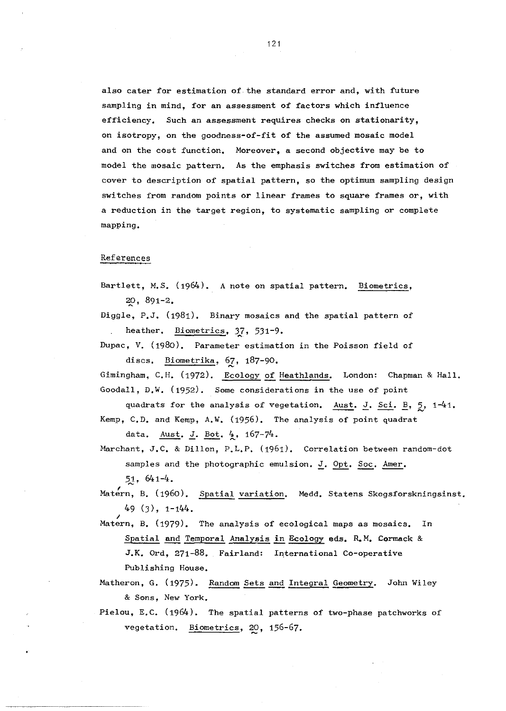**also cater for estimation of the standard error and, with future sampling in mind, for an assessment of factors which influence efficiency. Such an assessment requires checks on stationarity, on isotropy, on the goodness-of-fit of the assumed mosaic model and on the cost function. Moreover, a second objective may be to model the mosaic pattern. As the emphasis switches from estimation of cover to description of spatial pattern, so the optimum sampling design switches from random points or linear frames to square frames or, with a reduction in the target region, to systematic sampling or complete mapping.** 

#### References

- Bartlett, M.S. (1964). A note on spatial pattern. Biometrics, 2,.?, 891-2,
- Diggle, P,J, (1981). Binary mosaics and the spatial pattern of heather. Biometrics, 37, 531-9.
- Dupac, V, (1980), Parameter estimation in the Poisson field of discs, Biometrika, 67, 187-90, <sup>~</sup>

Gimingham, C,H, (1972), Ecology of Heathlands, London: Chapman & Hall, Goodall, D,W, (1952). Some considerations in the use of point

quadrats for the analysis of vegetation. Aust. J. Sci. B, 5, 1-41. Kemp, C,D, and Kemp, A,W, (1956), The analysis of point quadrat data.  $Aust. J. Bot. 4, 167-74.$ 

Marchant, J.C. & Dillon, P.L.P. (1961). Correlation between random-dot samples and the photographic emulsion.  $J.$  Opt. Soc. Amer.

5\_2, 641-4.

Matern, B. (1960). Spatial variation. Medd. Statens Skogsforskningsinst. 49 (J), 1-144.

- /<br>Matern, B. (1979). The analysis of ecological maps as mosaics. In **Spatial and Temporal Analysis in Ecology eds. R.M. Cormack** & J.K. Ord, 271-88. Fairland: International Co-operative **Publishing House.**
- Matheron, G. (1975). Random Sets and Integral Geometry. John Wiley & **Sons, New York.**
- Pielou, E,C, (1964). The spatial patterns of two-phase patchworks of vegetation. Biometrics, 20, 156-67.

121